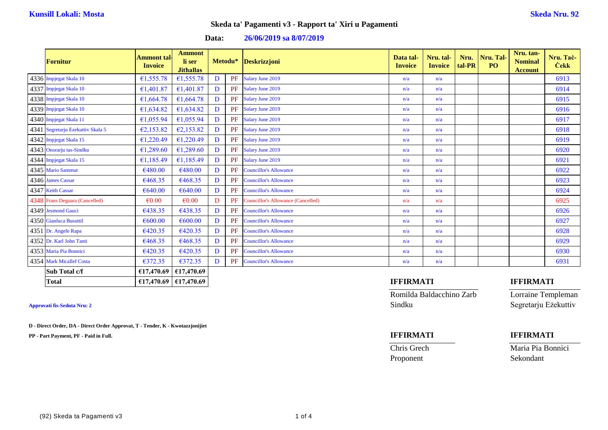**Data: 26/06/2019 sa 8/07/2019**

| <b>Fornitur</b>                   | Ammont tal·l<br><b>Invoice</b> | <b>Ammont</b><br>li ser<br><b>Jithallas</b> |   |    | Metodu* Deskrizzjoni                      | Data tal-<br><b>Invoice</b> | Nru. tal-<br><b>Invoice</b> | Nru.<br>tal-PR | Nru. Tal-<br><b>PO</b> | Nru. tan-<br><b>Nominal</b><br><b>Account</b> | Nru. Tac-<br><b>Cekk</b> |
|-----------------------------------|--------------------------------|---------------------------------------------|---|----|-------------------------------------------|-----------------------------|-----------------------------|----------------|------------------------|-----------------------------------------------|--------------------------|
| 4336 Impjegat Skala 10            | €1,555.78                      | €1,555.78                                   | D | PF | <b>Salary June 2019</b>                   | n/a                         | n/a                         |                |                        |                                               | 6913                     |
| 4337 Impjegat Skala 10            | €1,401.87                      | €1,401.87                                   | D | PF | Salary June 2019                          | n/a                         | n/a                         |                |                        |                                               | 6914                     |
| 4338 Impjegat Skala 10            | €1,664.78                      | €1,664.78                                   | D | PF | Salary June 2019                          | n/a                         | n/a                         |                |                        |                                               | 6915                     |
| 4339 Impjegat Skala 10            | €1,634.82                      | €1,634.82                                   | D | PF | Salary June 2019                          | n/a                         | n/a                         |                |                        |                                               | 6916                     |
| 4340 Impjegat Skala 11            | €1,055.94                      | €1,055.94                                   | D | PF | Salary June 2019                          | n/a                         | n/a                         |                |                        |                                               | 6917                     |
| 4341 Segretarju Ezekuttiv Skala 5 | €2,153.82                      | €2,153.82                                   | D | PF | Salary June 2019                          | n/a                         | n/a                         |                |                        |                                               | 6918                     |
| 4342 Impjegat Skala 15            | €1,220.49                      | €1,220.49                                   | D | PF | Salary June 2019                          | n/a                         | n/a                         |                |                        |                                               | 6919                     |
| 4343 Onorarju tas-Sindku          | €1,289.60                      | €1,289.60                                   | D | PF | Salary June 2019                          | n/a                         | n/a                         |                |                        |                                               | 6920                     |
| 4344 Impjegat Skala 15            | €1,185.49                      | €1,185.49                                   | D | PF | Salary June 2019                          | n/a                         | n/a                         |                |                        |                                               | 6921                     |
| 4345 Mario Sammut                 | €480.00                        | €480.00                                     | D | PF | <b>Councillor's Allowance</b>             | n/a                         | n/a                         |                |                        |                                               | 6922                     |
| 4346 James Cassar                 | €468.35                        | €468.35                                     | D | PF | <b>Councillor's Allowance</b>             | n/a                         | n/a                         |                |                        |                                               | 6923                     |
| 4347 Keith Cassar                 | €640.00                        | €640.00                                     | D | PF | <b>Councillor's Allowance</b>             | n/a                         | n/a                         |                |                        |                                               | 6924                     |
| 4348 Frans Deguara (Cancelled)    | $\epsilon$ 0.00                | $\epsilon$ 0.00                             | D | PF | <b>Councillor's Allowance (Cancelled)</b> | n/a                         | n/a                         |                |                        |                                               | 6925                     |
| 4349 Jesmond Gauci                | €438.35                        | €438.35                                     | D | PF | <b>Councillor's Allowance</b>             | n/a                         | n/a                         |                |                        |                                               | 6926                     |
| 4350 Gianluca Busuttil            | €600.00                        | €600.00                                     | D | PF | <b>Councillor's Allowance</b>             | n/a                         | n/a                         |                |                        |                                               | 6927                     |
| 4351 Dr. Angele Rapa              | €420.35                        | €420.35                                     | D | PF | <b>Councillor's Allowance</b>             | n/a                         | n/a                         |                |                        |                                               | 6928                     |
| 4352 Dr. Karl John Tanti          | €468.35                        | €468.35                                     | D | PF | <b>Councillor's Allowance</b>             | n/a                         | n/a                         |                |                        |                                               | 6929                     |
| 4353 Maria Pia Bonnici            | €420.35                        | €420.35                                     | D | PF | <b>Councillor's Allowance</b>             | n/a                         | n/a                         |                |                        |                                               | 6930                     |
| 4354 Mark Micallef Costa          | €372.35                        | €372.35                                     | D |    | <b>PF</b> Councillor's Allowance          | n/a                         | n/a                         |                |                        |                                               | 6931                     |
| Sub Total c/f                     | €17,470.69                     | €17,470.69                                  |   |    |                                           |                             |                             |                |                        |                                               |                          |
| <b>Total</b>                      |                                | €17,470.69 €17,470.69                       |   |    |                                           | <b>IFFIRMATI</b>            |                             |                |                        | <b>IFFIRMATI</b>                              |                          |

**D - Direct Order, DA - Direct Order Approvat, T - Tender, K - Kwotazzjonijiet**

**PP - Part Payment, PF - Paid in Full. IFFIRMATI IFFIRMATI**

Romilda Baldacchino Zarb Lorraine Templeman Approvati fis-Seduta Nru: 2 Sindku Segretarju Eżekuttiv

Proponent Sekondant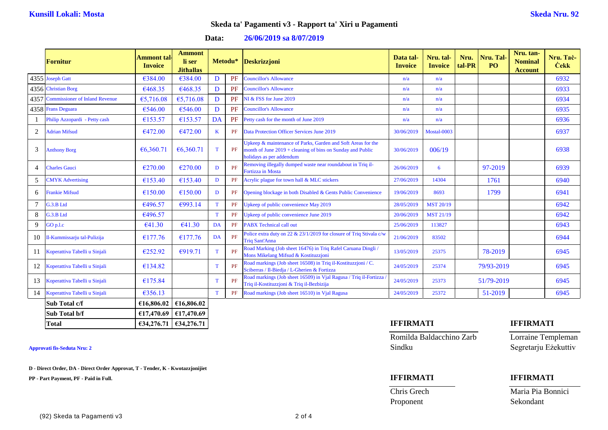### **Data: 26/06/2019 sa 8/07/2019**

|    | Fornitur                            | Ammont tal·<br><b>Invoice</b> | <b>Ammont</b><br>li ser<br><b>Jithallas</b> |              | Metodu*   | Deskrizzjoni                                                                                                                                           | Data tal-<br><b>Invoice</b> | Nru. tal-<br><b>Invoice</b> | Nru.<br>tal-PR | Nru. Tal-<br><b>PO</b> | Nru. tan-<br><b>Nominal</b><br><b>Account</b> | Nru. Tač-<br><b>Cekk</b> |
|----|-------------------------------------|-------------------------------|---------------------------------------------|--------------|-----------|--------------------------------------------------------------------------------------------------------------------------------------------------------|-----------------------------|-----------------------------|----------------|------------------------|-----------------------------------------------|--------------------------|
|    | 4355 Joseph Gatt                    | €384.00                       | €384.00                                     | D            | <b>PF</b> | <b>Councillor's Allowance</b>                                                                                                                          | n/a                         | n/a                         |                |                        |                                               | 6932                     |
|    | 4356 Christian Borg                 | €468.35                       | €468.35                                     | D            | PF        | <b>Councillor's Allowance</b>                                                                                                                          | n/a                         | n/a                         |                |                        |                                               | 6933                     |
|    | 4357 Commissioner of Inland Revenue | €5,716.08                     | €5,716.08                                   | D            | PF        | NI & FSS for June 2019                                                                                                                                 | n/a                         | n/a                         |                |                        |                                               | 6934                     |
|    | 4358 Frans Deguara                  | €546.00                       | €546.00                                     | D            | PF        | <b>Councillor's Allowance</b>                                                                                                                          | n/a                         | n/a                         |                |                        |                                               | 6935                     |
| 1  | Philip Azzopardi - Petty cash       | €153.57                       | €153.57                                     | DA           | PF        | Petty cash for the month of June 2019                                                                                                                  | n/a                         | n/a                         |                |                        |                                               | 6936                     |
| 2  | <b>Adrian Mifsud</b>                | €472.00                       | €472.00                                     | $\bf K$      | PF        | <b>Data Protection Officer Services June 2019</b>                                                                                                      | 30/06/2019                  | Mostal-0003                 |                |                        |                                               | 6937                     |
| 3  | <b>Anthony Borg</b>                 | €6,360.71                     | €6,360.71                                   | T            | PF        | Upkeep & maintenance of Parks, Garden and Soft Areas for the<br>month of June 2019 + cleaning of bins on Sunday and Public<br>holidays as per addendum | 30/06/2019                  | 006/19                      |                |                        |                                               | 6938                     |
| 4  | <b>Charles Gauci</b>                | €270.00                       | €270.00                                     | D            | PF        | Removing illegally dumped waste near roundabout in Triq il-<br>Fortizza in Mosta                                                                       | 26/06/2019                  | 6                           |                | 97-2019                |                                               | 6939                     |
| 5  | <b>CMYK</b> Advertising             | €153.40                       | €153.40                                     | D            | PF        | Acrylic plague for town hall & MLC stickers                                                                                                            | 27/06/2019                  | 14304                       |                | 1761                   |                                               | 6940                     |
| 6  | <b>Frankie Mifsud</b>               | €150.00                       | €150.00                                     | D            | PF        | Opening blockage in both Disabled & Gents Public Convenience                                                                                           | 19/06/2019                  | 8693                        |                | 1799                   |                                               | 6941                     |
|    | G.3.B Ltd                           | €496.57                       | €993.14                                     | T            | PF        | Upkeep of public convenience May 2019                                                                                                                  | 28/05/2019                  | <b>MST 20/19</b>            |                |                        |                                               | 6942                     |
| 8  | G.3.B Ltd                           | €496.57                       |                                             | T            | PF        | Upkeep of public convenience June 2019                                                                                                                 | 20/06/2019                  | <b>MST 21/19</b>            |                |                        |                                               | 6942                     |
| 9  | GO p.l.c                            | €41.30                        | €41.30                                      | DA           | PF        | <b>PABX Technical call out</b>                                                                                                                         | 25/06/2019                  | 113827                      |                |                        |                                               | 6943                     |
| 10 | Il-Kummissarju tal-Pulizija         | €177.76                       | €177.76                                     | DA           | PF        | Police extra duty on 22 & 23/1/2019 for closure of Triq Stivala c/w<br><b>Trig Sant'Anna</b>                                                           | 21/06/2019                  | 83502                       |                |                        |                                               | 6944                     |
| 11 | Koperattiva Tabelli u Sinjali       | €252.92                       | €919.71                                     | T            | PF        | Road Marking (Job sheet 16476) in Triq Rafel Caruana Dingli /<br>Mons Mikelang Mifsud & Kostituzzjoni                                                  | 13/05/2019                  | 25375                       |                | 78-2019                |                                               | 6945                     |
| 12 | Koperattiva Tabelli u Sinjali       | €134.82                       |                                             | $\mathbf T$  | PF        | Road markings (Job sheet 16508) in Triq il-Kostituzzjoni / C.<br>Sciberras / Il-Biedja / L-Gherien & Fortizza                                          | 24/05/2019                  | 25374                       |                | 79/93-2019             |                                               | 6945                     |
| 13 | Koperattiva Tabelli u Sinjali       | €175.84                       |                                             | $\mathbf{T}$ | PF        | Road markings (Job sheet 16509) in Vjal Ragusa / Triq il-Fortizza<br>Triq il-Kostituzzjoni & Triq il-Bezbizija                                         | 24/05/2019                  | 25373                       |                | 51/79-2019             |                                               | 6945                     |
| 14 | Koperattiva Tabelli u Sinjali       | €356.13                       |                                             | T            | PF        | Road markings (Job sheet 16510) in Vial Ragusa                                                                                                         | 24/05/2019                  | 25372                       |                | 51-2019                |                                               | 6945                     |
|    | Sub Total c/f                       | €16,806.02                    | €16,806.02                                  |              |           |                                                                                                                                                        |                             |                             |                |                        |                                               |                          |
|    | Sub Total b/f                       | €17,470.69 €17,470.69         |                                             |              |           |                                                                                                                                                        |                             |                             |                |                        |                                               |                          |

**D - Direct Order, DA - Direct Order Approvat, T - Tender, K - Kwotazzjonijiet**

**PP - Part Payment, PF - Paid in Full. IFFIRMATI IFFIRMATI**

Romilda Baldacchino Zarb Lorraine Templeman Approvati fis-Seduta Nru: 2 Sindku Segretarju Eżekuttiv

Proponent Sekondant

### **Total €34,276.71 €34,276.71 IFFIRMATI IFFIRMATI**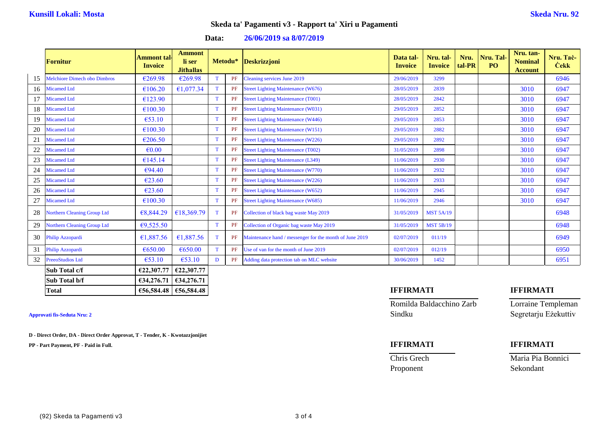**Data: 26/06/2019 sa 8/07/2019**

|    | <b>Fornitur</b>                    | <b>Ammont</b> tal<br><b>Invoice</b> | <b>Ammont</b><br>li ser<br><b>Jithallas</b> |             | Metodu* | Deskrizzjoni                                            | Data tal-<br><b>Invoice</b> | Nru. tal-<br><b>Invoice</b> | Nru.<br>tal-PR | Nru. Tal-<br>P <sub>O</sub> | Nru. tan-<br><b>Nominal</b><br><b>Account</b> | Nru. Tač-<br><b>Cekk</b> |
|----|------------------------------------|-------------------------------------|---------------------------------------------|-------------|---------|---------------------------------------------------------|-----------------------------|-----------------------------|----------------|-----------------------------|-----------------------------------------------|--------------------------|
| 15 | Melchiore Dimech obo Dimbros       | €269.98                             | €269.98                                     | T           | PF      | Cleaning services June 2019                             | 29/06/2019                  | 3299                        |                |                             |                                               | 6946                     |
| 16 | <b>Micamed Ltd</b>                 | €106.20                             | €1,077.34                                   | T           | PF      | <b>Street Lighting Maintenance (W676)</b>               | 28/05/2019                  | 2839                        |                |                             | 3010                                          | 6947                     |
|    | <b>Micamed Ltd</b>                 | €123.90                             |                                             | T           | PF      | <b>Street Lighting Maintenance (T001)</b>               | 28/05/2019                  | 2842                        |                |                             | 3010                                          | 6947                     |
| 18 | <b>Micamed Ltd</b>                 | €100.30                             |                                             | T           | PF      | <b>Street Lighting Maintenance (W031)</b>               | 29/05/2019                  | 2852                        |                |                             | 3010                                          | 6947                     |
| 19 | <b>Micamed Ltd</b>                 | €53.10                              |                                             | $\mathbf T$ | PF      | <b>Street Lighting Maintenance (W446)</b>               | 29/05/2019                  | 2853                        |                |                             | 3010                                          | 6947                     |
| 20 | <b>Micamed Ltd</b>                 | €100.30                             |                                             | T           | PF      | <b>Street Lighting Maintenance (W151)</b>               | 29/05/2019                  | 2882                        |                |                             | 3010                                          | 6947                     |
| 21 | Micamed Ltd                        | €206.50                             |                                             | T           | PF      | <b>Street Lighting Maintenance (W226)</b>               | 29/05/2019                  | 2892                        |                |                             | 3010                                          | 6947                     |
| 22 | Micamed Ltd                        | $\epsilon$ <sub>0.00</sub>          |                                             | T           | PF      | <b>Street Lighting Maintenance (T002)</b>               | 31/05/2019                  | 2898                        |                |                             | 3010                                          | 6947                     |
| 23 | Micamed Ltd                        | €145.14                             |                                             | $\mathbf T$ |         | <b>Street Lighting Maintenance (L349)</b>               | 11/06/2019                  | 2930                        |                |                             | 3010                                          | 6947                     |
| 24 | <b>Micamed Ltd</b>                 | €94.40                              |                                             | T           | PF      | <b>Street Lighting Maintenance (W770)</b>               | 11/06/2019                  | 2932                        |                |                             | 3010                                          | 6947                     |
| 25 | Micamed Ltd                        | €23.60                              |                                             | T           | PF      | <b>Street Lighting Maintenance (W226)</b>               | 11/06/2019                  | 2933                        |                |                             | 3010                                          | 6947                     |
| 26 | <b>Micamed Ltd</b>                 | €23.60                              |                                             | T           | PF      | <b>Street Lighting Maintenance (W652)</b>               | 11/06/2019                  | 2945                        |                |                             | 3010                                          | 6947                     |
| 27 | Micamed Ltd                        | €100.30                             |                                             | $\mathbf T$ | PF      | <b>Street Lighting Maintenance (W685)</b>               | 11/06/2019                  | 2946                        |                |                             | 3010                                          | 6947                     |
| 28 | Northern Cleaning Group Ltd        | €8,844.29                           | €18.369.79                                  | T           | PF      | Collection of black bag waste May 2019                  | 31/05/2019                  | <b>MST 5A/19</b>            |                |                             |                                               | 6948                     |
| 29 | <b>Northern Cleaning Group Ltd</b> | €9,525.50                           |                                             | T           | PF      | Collection of Organic bag waste May 2019                | 31/05/2019                  | <b>MST 5B/19</b>            |                |                             |                                               | 6948                     |
| 30 | Philip Azzopardi                   | €1,887.56                           | €1,887.56                                   | T           | PF      | Maintenance hand / messenger for the month of June 2019 | 02/07/2019                  | 011/19                      |                |                             |                                               | 6949                     |
| 31 | Philip Azzopardi                   | €650.00                             | €650.00                                     | T           | PF      | Use of van for the month of June 2019                   | 02/07/2019                  | 012/19                      |                |                             |                                               | 6950                     |
| 32 | PreeoStudios Ltd                   | €53.10                              | €53.10                                      | D           | PF      | Adding data protection tab on MLC website               | 30/06/2019                  | 1452                        |                |                             |                                               | 6951                     |
|    | Sub Total c/f                      | €22,307.77                          | €22,307.77                                  |             |         |                                                         |                             |                             |                |                             |                                               |                          |
|    | Sub Total b/f                      | €34,276.71   €34,276.71             |                                             |             |         |                                                         |                             |                             |                |                             |                                               |                          |

**D - Direct Order, DA - Direct Order Approvat, T - Tender, K - Kwotazzjonijiet**

**PP - Part Payment, PF - Paid in Full. IFFIRMATI IFFIRMATI**

### **Total €56,584.48 €56,584.48 IFFIRMATI IFFIRMATI**

Romilda Baldacchino Zarb Lorraine Templeman Approvati fis-Seduta Nru: 2 Sindku Segretarju Eżekuttiv

Proponent Sekondant